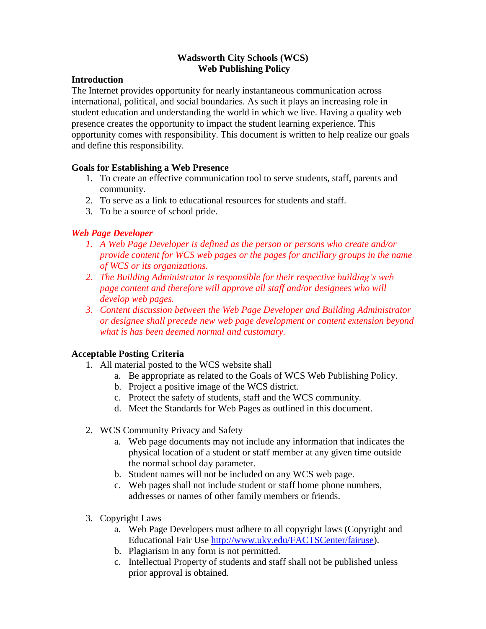#### **Wadsworth City Schools (WCS) Web Publishing Policy**

### **Introduction**

The Internet provides opportunity for nearly instantaneous communication across international, political, and social boundaries. As such it plays an increasing role in student education and understanding the world in which we live. Having a quality web presence creates the opportunity to impact the student learning experience. This opportunity comes with responsibility. This document is written to help realize our goals and define this responsibility.

## **Goals for Establishing a Web Presence**

- 1. To create an effective communication tool to serve students, staff, parents and community.
- 2. To serve as a link to educational resources for students and staff.
- 3. To be a source of school pride.

## *Web Page Developer*

- *1. A Web Page Developer is defined as the person or persons who create and/or provide content for WCS web pages or the pages for ancillary groups in the name of WCS or its organizations.*
- *2. The Building Administrator is responsible for their respective building's web page content and therefore will approve all staff and/or designees who will develop web pages.*
- *3. Content discussion between the Web Page Developer and Building Administrator or designee shall precede new web page development or content extension beyond what is has been deemed normal and customary.*

## **Acceptable Posting Criteria**

- 1. All material posted to the WCS website shall
	- a. Be appropriate as related to the Goals of WCS Web Publishing Policy.
	- b. Project a positive image of the WCS district.
	- c. Protect the safety of students, staff and the WCS community.
	- d. Meet the Standards for Web Pages as outlined in this document.
- 2. WCS Community Privacy and Safety
	- a. Web page documents may not include any information that indicates the physical location of a student or staff member at any given time outside the normal school day parameter.
	- b. Student names will not be included on any WCS web page.
	- c. Web pages shall not include student or staff home phone numbers, addresses or names of other family members or friends.
- 3. Copyright Laws
	- a. Web Page Developers must adhere to all copyright laws (Copyright and Educational Fair Use [http://www.uky.edu/FACTSCenter/fairuse\)](http://www.uky.edu/FACTSCenter/fairuse/).
	- b. Plagiarism in any form is not permitted.
	- c. Intellectual Property of students and staff shall not be published unless prior approval is obtained.